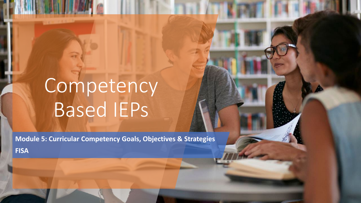# Competency Based IEPs

**Module 5: Curricular Competency Goals, Objectives & Strategies FISA**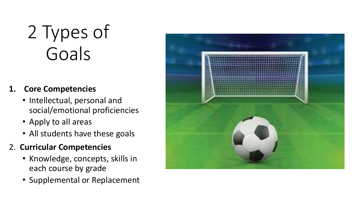# 2 Types of Goals

### **1. Core Competencies**

- Intellectual, personal and social/emotional proficiencies
- Apply to all areas
- All students have these goals

### 2. **Curricular Competencies**

- Knowledge, concepts, skills in each course by grade
- Supplemental or Replacement

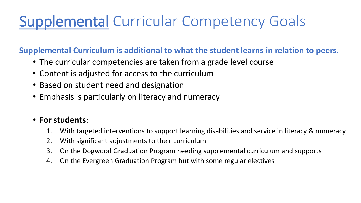## Supplemental Curricular Competency Goals

#### **Supplemental Curriculum is additional to what the student learns in relation to peers.**

- The curricular competencies are taken from a grade level course
- Content is adjusted for access to the curriculum
- Based on student need and designation
- Emphasis is particularly on literacy and numeracy

### • **For students**:

- 1. With targeted interventions to support learning disabilities and service in literacy & numeracy
- 2. With significant adjustments to their curriculum
- 3. On the Dogwood Graduation Program needing supplemental curriculum and supports
- 4. On the Evergreen Graduation Program but with some regular electives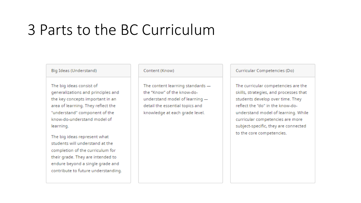## 3 Parts to the BC Curriculum

Big Ideas (Understand)

The big ideas consist of generalizations and principles and the key concepts important in an area of learning. They reflect the "understand" component of the know-do-understand model of learning.

The big ideas represent what students will understand at the completion of the curriculum for their grade. They are intended to endure beyond a single grade and contribute to future understanding.

#### Content (Know)

The content learning standards the "Know" of the know-dounderstand model of learning detail the essential topics and knowledge at each grade level.

Curricular Competencies (Do)

The curricular competencies are the skills, strategies, and processes that students develop over time. They reflect the "do" in the know-dounderstand model of learning. While curricular competencies are more subject-specific, they are connected to the core competencies.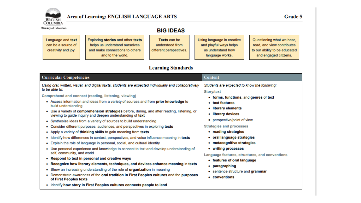

Exploring stories and other texts

helps us understand ourselves

and make connections to others

and to the world.

Ministry of Education

Language and text

can be a source of

creativity and joy.

| Texts can be            | Using language in creative |
|-------------------------|----------------------------|
| understood from         | and playful ways helps     |
| different perspectives. | us understand how          |
|                         | language works.            |

Questioning what we hear, read, and view contributes to our ability to be educated and engaged citizens.

#### **Learning Standards**

| <b>Curricular Competencies</b>                                                                                                                                                                                                                                                                | <b>Content</b>                                                                                                                                        |
|-----------------------------------------------------------------------------------------------------------------------------------------------------------------------------------------------------------------------------------------------------------------------------------------------|-------------------------------------------------------------------------------------------------------------------------------------------------------|
| Using oral, written, visual, and digital texts, students are expected individually and collaboratively<br>to be able to:<br>Comprehend and connect (reading, listening, viewing)<br>Access information and ideas from a variety of sources and from prior knowledge to<br>build understanding | Students are expected to know the following:<br><b>Story/text</b><br>• forms, functions, and genres of text<br>• text features<br>• literary elements |
| • Use a variety of comprehension strategies before, during, and after reading, listening, or<br>viewing to guide inquiry and deepen understanding of text                                                                                                                                     | literary devices                                                                                                                                      |
| • Synthesize ideas from a variety of sources to build understanding<br>Consider different purposes, audiences, and perspectives in exploring texts                                                                                                                                            | perspective/point of view<br><b>Strategies and processes</b>                                                                                          |
| Apply a variety of thinking skills to gain meaning from texts<br>٠                                                                                                                                                                                                                            | • reading strategies                                                                                                                                  |
| Identify how differences in context, perspectives, and voice influence meaning in texts<br>Explain the role of language in personal, social, and cultural identity<br>٠                                                                                                                       | • oral language strategies<br>• metacognitive strategies                                                                                              |
| Use personal experience and knowledge to connect to text and develop understanding of<br>self, community, and world                                                                                                                                                                           | • writing processes<br>Language features, structures, and conventions                                                                                 |
| • Respond to text in personal and creative ways                                                                                                                                                                                                                                               | • features of oral language                                                                                                                           |
| • Recognize how literary elements, techniques, and devices enhance meaning in texts                                                                                                                                                                                                           | paragraphing                                                                                                                                          |
| Show an increasing understanding of the role of organization in meaning                                                                                                                                                                                                                       | sentence structure and grammar                                                                                                                        |
| Demonstrate awareness of the oral tradition in First Peoples cultures and the purposes<br>of First Peoples texts                                                                                                                                                                              | • conventions                                                                                                                                         |
| • Identify how story in First Peoples cultures connects people to land                                                                                                                                                                                                                        |                                                                                                                                                       |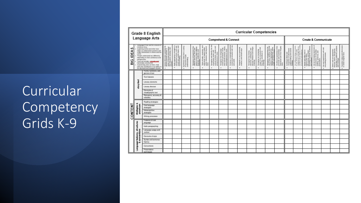## Curricular<sup>'</sup> **Competency** Grids K-9

|                    |                           | Grade 8 English                                                                                                                                                                                                                                                                                                                                                                                                                                        | <b>Curricular Competencies</b> |                                                                                 |                                                                           |         |                |                          |   |                      |                                                     |                                            |                                                         |                                                                                                                        |                                                                 |                                                                               |                                               |                                     |                                                    |        |                                                                                    |                                                    |
|--------------------|---------------------------|--------------------------------------------------------------------------------------------------------------------------------------------------------------------------------------------------------------------------------------------------------------------------------------------------------------------------------------------------------------------------------------------------------------------------------------------------------|--------------------------------|---------------------------------------------------------------------------------|---------------------------------------------------------------------------|---------|----------------|--------------------------|---|----------------------|-----------------------------------------------------|--------------------------------------------|---------------------------------------------------------|------------------------------------------------------------------------------------------------------------------------|-----------------------------------------------------------------|-------------------------------------------------------------------------------|-----------------------------------------------|-------------------------------------|----------------------------------------------------|--------|------------------------------------------------------------------------------------|----------------------------------------------------|
|                    |                           | Language Arts                                                                                                                                                                                                                                                                                                                                                                                                                                          |                                | <b>Comprehend &amp; Connect</b>                                                 |                                                                           |         |                |                          |   | Create & Communicate |                                                     |                                            |                                                         |                                                                                                                        |                                                                 |                                                                               |                                               |                                     |                                                    |        |                                                                                    |                                                    |
| S<br>∢<br>늘<br>9lG | world.                    | Language & test can be a resume of<br>considery illing.<br>Exploring staries and other tests<br>helps us understand ourselves and<br>make connections to others and the<br>Propin understand text differently<br>depending on their worldviews and<br>perspectives.<br>Texts are socially, cybonhyond<br>historically constructed:<br>Questioning what we have, read,<br>and view contributes to our ribility to<br>be relucated and engaged cliteres. | -39<br>٠                       | 三 河<br>i appenpision similogia<br>enhend urtilism, cmil, i<br>elihiriking,<br>٠ | ora va<br>nidası fiz<br>121 bildi<br>400<br>ø<br>lare<br>谓百号<br>$\bullet$ | 日本<br>٠ | ទី ២<br>굔<br>٠ | 書圖<br>and iden<br>ă<br>٠ | ٠ | $\mathbf{u}$<br>٠    | to took in po<br>and critical<br>$\frac{1}{2}$<br>٠ | ı.<br>a, ucháques, i<br>erhence and a<br>ğ | $\overline{M}$<br>angkia an interna.<br>Imperationalism | verant<br>14. and<br>19. Filmi<br>Recognize and approved<br>Index of elongy, memoire<br>Installate in expressions<br>٠ | ъ<br>휇<br>tiga an awarman<br>socia and overarra<br>용품<br>ð<br>٠ | hange idnus and<br>gesins to hallel shares<br>gesinsfing and extent<br>a<br>٠ | and both for a<br>red both for a<br>П<br>$+1$ | industries<br>ă<br>ang to<br>H<br>٠ | $\circ$<br>ention of Co<br>PA partner<br>$\bullet$ | ing in | and parties<br>and the<br>-8.9<br>E <sup>4</sup><br>$\overline{2}$<br>$\mathbf{r}$ | ŤÍ.<br>Transform idease.<br>In amoun aniginal<br>٠ |
|                    |                           | Forms, fundams, and<br>games of tod                                                                                                                                                                                                                                                                                                                                                                                                                    |                                |                                                                                 |                                                                           |         |                |                          |   |                      |                                                     |                                            |                                                         |                                                                                                                        |                                                                 |                                                                               |                                               |                                     |                                                    |        |                                                                                    |                                                    |
|                    |                           | Tiont friald under                                                                                                                                                                                                                                                                                                                                                                                                                                     |                                |                                                                                 |                                                                           |         |                |                          |   |                      |                                                     |                                            |                                                         |                                                                                                                        |                                                                 |                                                                               |                                               |                                     |                                                    |        |                                                                                    |                                                    |
|                    | story/text                | Literary elements                                                                                                                                                                                                                                                                                                                                                                                                                                      |                                |                                                                                 |                                                                           |         |                |                          |   |                      |                                                     |                                            |                                                         |                                                                                                                        |                                                                 |                                                                               |                                               |                                     |                                                    |        |                                                                                    |                                                    |
|                    |                           | Literary devices                                                                                                                                                                                                                                                                                                                                                                                                                                       |                                |                                                                                 |                                                                           |         |                |                          |   |                      |                                                     |                                            |                                                         |                                                                                                                        |                                                                 |                                                                               |                                               |                                     |                                                    |        |                                                                                    |                                                    |
|                    |                           | Elements of<br>visual/graphic text                                                                                                                                                                                                                                                                                                                                                                                                                     |                                |                                                                                 |                                                                           |         |                |                          |   |                      |                                                     |                                            |                                                         |                                                                                                                        |                                                                 |                                                                               |                                               |                                     |                                                    |        |                                                                                    |                                                    |
|                    |                           | Relevance, accuracy &<br>ndiability                                                                                                                                                                                                                                                                                                                                                                                                                    |                                |                                                                                 |                                                                           |         |                |                          |   |                      |                                                     |                                            |                                                         |                                                                                                                        |                                                                 |                                                                               |                                               |                                     |                                                    |        |                                                                                    |                                                    |
|                    |                           | Reading strategies                                                                                                                                                                                                                                                                                                                                                                                                                                     |                                |                                                                                 |                                                                           |         |                |                          |   |                      |                                                     |                                            |                                                         |                                                                                                                        |                                                                 |                                                                               |                                               |                                     |                                                    |        |                                                                                    |                                                    |
|                    |                           | Onal language:<br>strategies                                                                                                                                                                                                                                                                                                                                                                                                                           |                                |                                                                                 |                                                                           |         |                |                          |   |                      |                                                     |                                            |                                                         |                                                                                                                        |                                                                 |                                                                               |                                               |                                     |                                                    |        |                                                                                    |                                                    |
|                    | Strategies &<br>processes | Meteogrative<br>sitoratogica                                                                                                                                                                                                                                                                                                                                                                                                                           |                                |                                                                                 |                                                                           |         |                |                          |   |                      |                                                     |                                            |                                                         |                                                                                                                        |                                                                 |                                                                               |                                               |                                     |                                                    |        |                                                                                    |                                                    |
| CONTENT            |                           | Writing processes                                                                                                                                                                                                                                                                                                                                                                                                                                      |                                |                                                                                 |                                                                           |         |                |                          |   |                      |                                                     |                                            |                                                         |                                                                                                                        |                                                                 |                                                                               |                                               |                                     |                                                    |        |                                                                                    |                                                    |
|                    |                           | Pastungs of osal<br><b>Language:</b>                                                                                                                                                                                                                                                                                                                                                                                                                   |                                |                                                                                 |                                                                           |         |                |                          |   |                      |                                                     |                                            |                                                         |                                                                                                                        |                                                                 |                                                                               |                                               |                                     |                                                    |        |                                                                                    |                                                    |
|                    | uoturos                   | Multi-paragraphing                                                                                                                                                                                                                                                                                                                                                                                                                                     |                                |                                                                                 |                                                                           |         |                |                          |   |                      |                                                     |                                            |                                                         |                                                                                                                        |                                                                 |                                                                               |                                               |                                     |                                                    |        |                                                                                    |                                                    |
|                    | 号<br>빋<br>흍               | Language usage and<br>contest                                                                                                                                                                                                                                                                                                                                                                                                                          |                                |                                                                                 |                                                                           |         |                |                          |   |                      |                                                     |                                            |                                                         |                                                                                                                        |                                                                 |                                                                               |                                               |                                     |                                                    |        |                                                                                    |                                                    |
|                    | features,<br>oomve        | Elements of style                                                                                                                                                                                                                                                                                                                                                                                                                                      |                                |                                                                                 |                                                                           |         |                |                          |   |                      |                                                     |                                            |                                                         |                                                                                                                        |                                                                 |                                                                               |                                               |                                     |                                                    |        |                                                                                    |                                                    |
|                    |                           | Syntax and sentence<br><b>Fluency</b>                                                                                                                                                                                                                                                                                                                                                                                                                  |                                |                                                                                 |                                                                           |         |                |                          |   |                      |                                                     |                                            |                                                         |                                                                                                                        |                                                                 |                                                                               |                                               |                                     |                                                    |        |                                                                                    |                                                    |
|                    | age<br>g                  | Conventions                                                                                                                                                                                                                                                                                                                                                                                                                                            |                                |                                                                                 |                                                                           |         |                |                          |   |                      |                                                     |                                            |                                                         |                                                                                                                        |                                                                 |                                                                               |                                               |                                     |                                                    |        |                                                                                    |                                                    |
|                    | Lang                      | Presentation<br>techniculas                                                                                                                                                                                                                                                                                                                                                                                                                            |                                |                                                                                 |                                                                           |         |                |                          |   |                      |                                                     |                                            |                                                         |                                                                                                                        |                                                                 |                                                                               |                                               |                                     |                                                    |        |                                                                                    |                                                    |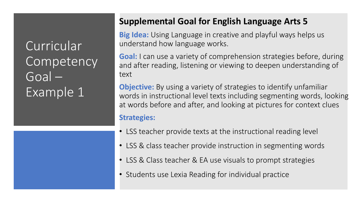### **Supplemental Goal for English Language Arts 5**

**Big Idea:** Using Language in creative and playful ways helps us understand how language works.

**Goal:** I can use a variety of comprehension strategies before, during and after reading, listening or viewing to deepen understanding of text

**Objective:** By using a variety of strategies to identify unfamiliar words in instructional level texts including segmenting words, looking at words before and after, and looking at pictures for context clues

#### **Strategies:**

- LSS teacher provide texts at the instructional reading level
- LSS & class teacher provide instruction in segmenting words
- LSS & Class teacher & EA use visuals to prompt strategies
- Students use Lexia Reading for individual practice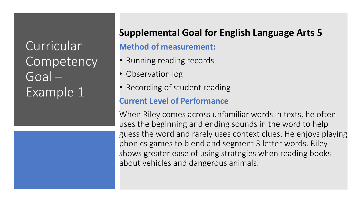

### **Supplemental Goal for English Language Arts 5**

### **Method of measurement:**

- Running reading records
- Observation log
- Recording of student reading

### **Current Level of Performance**

When Riley comes across unfamiliar words in texts, he often uses the beginning and ending sounds in the word to help guess the word and rarely uses context clues. He enjoys playing phonics games to blend and segment 3 letter words. Riley shows greater ease of using strategies when reading books about vehicles and dangerous animals.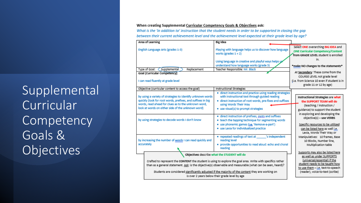### Supplemental **Curricular Competency** Goals & **Objectives**

#### When creating Supplemental Curricular Competency Goals & Objectives ask:

What is the 'in addition to' instruction that the student needs in order to be supported in closing the gap between their current achievement level and the achievement level expected at their grade level by age?

| Area of Learning                                                                                                                                                                                                                      | Big Idea                                                                                                                                                                                                                                                                                                                                                                         |                                                                                                                                                                      |  |  |  |
|---------------------------------------------------------------------------------------------------------------------------------------------------------------------------------------------------------------------------------------|----------------------------------------------------------------------------------------------------------------------------------------------------------------------------------------------------------------------------------------------------------------------------------------------------------------------------------------------------------------------------------|----------------------------------------------------------------------------------------------------------------------------------------------------------------------|--|--|--|
| English Language Arts (grades 1-3)                                                                                                                                                                                                    | Playing with language helps us to discover how language<br>works (grades $1 + 2$ )                                                                                                                                                                                                                                                                                               | Select ONE overarching BIG IDEA and<br><b>ONE Curricular Competency/Content</b><br>from GRADE LEVEL student is enrolled                                              |  |  |  |
|                                                                                                                                                                                                                                       | Using language in creative and playful ways helps y<br>understand how language works (grade 3)                                                                                                                                                                                                                                                                                   | in.<br>*make NO changes to the statements*                                                                                                                           |  |  |  |
| Type of Goal: < Supplemental<br>Replacement                                                                                                                                                                                           | Teacher Responsible: Mr. Black                                                                                                                                                                                                                                                                                                                                                   |                                                                                                                                                                      |  |  |  |
| Goal (Curricular Competency):                                                                                                                                                                                                         |                                                                                                                                                                                                                                                                                                                                                                                  | At Secondary: These come from the                                                                                                                                    |  |  |  |
| I can read fluently at grade level                                                                                                                                                                                                    |                                                                                                                                                                                                                                                                                                                                                                                  | COURSE LEVEL not grade level<br>(i.e. from Science 10 even if student is in<br>grade 11 or 12 by age)                                                                |  |  |  |
| Objective (curricular content to access the goal)                                                                                                                                                                                     | <b>Instructional Strategies</b>                                                                                                                                                                                                                                                                                                                                                  |                                                                                                                                                                      |  |  |  |
| by using a variety of strategies to identify unknown words<br>quickly (look for root words, prefixes, and suffixes in big<br>words, read ahead for clues as to the unknown word,<br>look at words on either side of the unknown word) | · direct instruction and practice using reading strategies<br>with instructional text through guided reading<br>· direct instruction of root words, pre-fixes and suffixes<br>using Words Their Way<br>· use visual(s) to prompt strategies                                                                                                                                      | Instructional Strategies are what<br>the SUPPORT TEAM will do<br>(teaching / instruction /<br>guidance) to support the student<br>in exploring and developing the    |  |  |  |
| by using strategies to decode words I don't know                                                                                                                                                                                      | · direct instruction of prefixes, roots and suffixes<br>• teach the tapping technique for segmenting words<br>· use phonemic games (i.e. 'Remove-a-part')<br>· use Lexia for individualized practice                                                                                                                                                                             | objective(s) - use VERBS<br>Specific resources to be utilized<br>can be listed here as well i.e.<br>Lexia, Words Their Way or                                        |  |  |  |
| by increasing the number of words I can read quickly and<br>accurately                                                                                                                                                                | · repeated readings of text at<br>'s independent<br>reading level<br>· provide opportunities to read aloud: echo and choral<br>reading                                                                                                                                                                                                                                           | Manipulatives: 10 frames, Base<br>10 Blocks, Number line,<br>Multiplication table                                                                                    |  |  |  |
|                                                                                                                                                                                                                                       | Objectives describe what the STUDENT will do                                                                                                                                                                                                                                                                                                                                     | Supports may also be listed here                                                                                                                                     |  |  |  |
|                                                                                                                                                                                                                                       | Crafted to represent the CONTENT the student is using to explore the goal area. Write with specifics rather<br>than as a general statement. Ask: is the objective(s) observable and measurable (what can be seen, heard)?<br>Students are considered significantly adjusted if the majority of the content they are working on<br>is over 2 years below their grade level by age | as well as under SUPPORTS<br>(universal/essential) if the<br>student needs to be taught how<br>to use them - i.e. text-to-speech<br>(reader), voice-to-text (scribe) |  |  |  |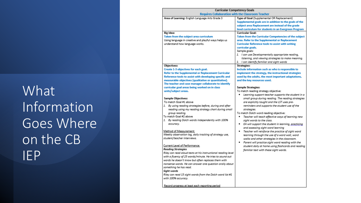## What Information Goes Where on the CB IEP

| Curricular Competency Godis<br><b>Requires Collaboration with the Classroom Teacher</b> |                                                          |
|-----------------------------------------------------------------------------------------|----------------------------------------------------------|
| Area of Learning: English Language Arts Grade 3                                         | Type of Goal (Supplemental OR Replacement)               |
|                                                                                         | Supplemental goals are in addition to the goals of the   |
|                                                                                         | subject area Replacement are instead of the grade        |
|                                                                                         | level curriculum for students in an Evergreen Program    |
| Big Idea:                                                                               | <b>Curricular Goal:</b>                                  |
| Taken from the subject area curriculum                                                  | Taken from the Curricular Competencies of the subject    |
| Using language in creative and playful ways helps us                                    | area. Refer to the Supplemental or Replacement           |
| understand how language works.                                                          | <b>Curricular Reference tools to assist with writing</b> |
|                                                                                         | curricular goals.                                        |
|                                                                                         | Sample goals:                                            |
|                                                                                         | 1. I can use Developmentally appropriate reading,        |
|                                                                                         | listening, and viewing strategies to make meaning.       |
|                                                                                         | 2. I can identify familiar and sight words               |
| <b>Objectives:</b>                                                                      | <b>Strategies:</b>                                       |
| Create 1-3 objectives for each goal.                                                    | Include information such as who is responsible to        |
| Refer to the Supplemental or Replacement Curricular                                     | implement the strategy, the instructional strategies     |
| Reference tools to assist with developing specific and                                  | used by the adults, the most important adaptations,      |
| measurable objectives (qualitative or quantitative).                                    | and the key resources used.                              |
| The teacher and case manager collaborate to identify                                    |                                                          |
| curricular goal areas being worked on in class                                          | <b>Sample Strategies:</b>                                |
| units/subject areas.                                                                    | To match reading strategy objective:                     |
|                                                                                         | Learning support teacher supports the student in a       |
| <b>Sample Objectives:</b>                                                               | small group during reading. The reading strategies       |
| To match Goal #1 above                                                                  | are explicitly taught and the LST uses pre-              |
| 1. By using reading strategies before, during and after                                 | reminders and supports the student use of the            |
| reading using my reading strategy chart during small                                    | strategies.                                              |
| aroup reading.                                                                          | To match Dolch word reading objective:                   |
| To match Goal #2 above                                                                  | Teacher will teach effective ways of learning new<br>٠   |
| 1. By reading Dolch words independently with 100%                                       | sight words to the class.                                |
| accuracy.                                                                               | EA will support the student in learning, practicing      |
|                                                                                         | and assessing sight word learning                        |
| Method of Measurement:<br>Weekly observation log, daily tracking of strategy use,       | Teacher will reinforce the practice of sight word<br>٠   |
| student/teacher interviews.                                                             | learning through the use of a word wall, word            |
|                                                                                         | walks and other strategies in the classroom.             |
| Current Level of Performance:                                                           | Parent will practice sight word reading with the<br>٠    |
| <b>Reading Strategies</b>                                                               | student daily at home using flashcards and reading       |
| Riley can read aloud texts at his instructional reading level                           | familiar text with these sight words.                    |
| with a fluency of 25 words/minute. He tries to sound out                                |                                                          |
| words he doesn't know but often replaces them with                                      |                                                          |
| nonsense words. He can answer one question orally about                                 |                                                          |
| something he has read.                                                                  |                                                          |
| Sight words                                                                             |                                                          |
| Riley can read 15 sight words from the Dolch word list #1                               |                                                          |
| with 100% accuracy.                                                                     |                                                          |
|                                                                                         |                                                          |
| Record progress at least each reporting period                                          |                                                          |
|                                                                                         |                                                          |
|                                                                                         |                                                          |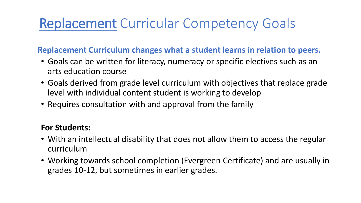## Replacement Curricular Competency Goals

**Replacement Curriculum changes what a student learns in relation to peers.** 

- Goals can be written for literacy, numeracy or specific electives such as an arts education course
- Goals derived from grade level curriculum with objectives that replace grade level with individual content student is working to develop
- Requires consultation with and approval from the family

#### **For Students:**

- With an intellectual disability that does not allow them to access the regular curriculum
- Working towards school completion (Evergreen Certificate) and are usually in grades 10-12, but sometimes in earlier grades.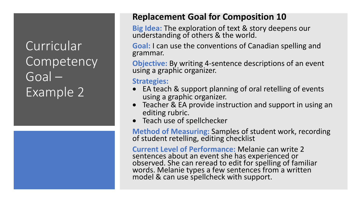

### **Replacement Goal for Composition 10**

**Big Idea:** The exploration of text & story deepens our understanding of others & the world.

**Goal:** I can use the conventions of Canadian spelling and grammar.

**Objective:** By writing 4-sentence descriptions of an event using a graphic organizer.

**Strategies:** 

- EA teach & support planning of oral retelling of events using a graphic organizer.
- Teacher & EA provide instruction and support in using an editing rubric.
- Teach use of spellchecker

**Method of Measuring:** Samples of student work, recording of student retelling, editing checklist

**Current Level of Performance:** Melanie can write 2 sentences about an event she has experienced or observed. She can reread to edit for spelling of familiar words. Melanie types a few sentences from a written model & can use spellcheck with support.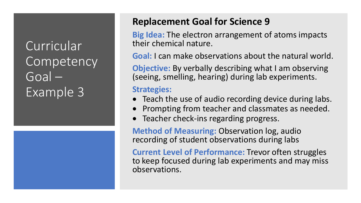

### **Replacement Goal for Science 9**

**Big Idea:** The electron arrangement of atoms impacts their chemical nature.

**Goal:** I can make observations about the natural world.

**Objective:** By verbally describing what I am observing (seeing, smelling, hearing) during lab experiments.

#### **Strategies:**

- Teach the use of audio recording device during labs.
- Prompting from teacher and classmates as needed.
- Teacher check-ins regarding progress.

**Method of Measuring:** Observation log, audio recording of student observations during labs

**Current Level of Performance:** Trevor often struggles to keep focused during lab experiments and may miss observations.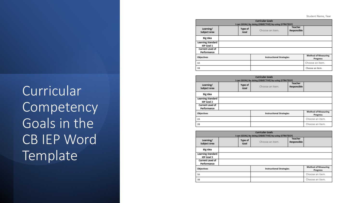Student Name, Year

| <b>Curricular Goals</b>          |                                                                  |                 |                                 |             |                                        |  |  |  |  |  |  |
|----------------------------------|------------------------------------------------------------------|-----------------|---------------------------------|-------------|----------------------------------------|--|--|--|--|--|--|
|                                  | I can (GOAL) by doing (OBJECTIVE) by using (STRATEGY)<br>Teacher |                 |                                 |             |                                        |  |  |  |  |  |  |
| Learning/<br><b>Subject Area</b> |                                                                  | Type of<br>Goal | Choose an item.                 | Responsible |                                        |  |  |  |  |  |  |
| Big Idea                         |                                                                  |                 |                                 |             |                                        |  |  |  |  |  |  |
| <b>Learning Standard</b>         |                                                                  |                 |                                 |             |                                        |  |  |  |  |  |  |
| IEP Goal 1                       |                                                                  |                 |                                 |             |                                        |  |  |  |  |  |  |
| <b>Current Level of</b>          |                                                                  |                 |                                 |             |                                        |  |  |  |  |  |  |
| Performance                      |                                                                  |                 |                                 |             |                                        |  |  |  |  |  |  |
| Objectives                       |                                                                  |                 | <b>Instructional Strategies</b> |             | <b>Method of Measuring</b><br>Progress |  |  |  |  |  |  |
| 1A                               |                                                                  |                 |                                 |             | Choose an item.                        |  |  |  |  |  |  |
| 1B                               |                                                                  |                 |                                 |             | Choose an item.                        |  |  |  |  |  |  |

| <b>Curricular Goals</b><br>I can (GOAL) by doing (OBJECTIVE) by using (STRATEGY)        |  |                 |                 |                        |                 |  |  |  |  |  |
|-----------------------------------------------------------------------------------------|--|-----------------|-----------------|------------------------|-----------------|--|--|--|--|--|
| Learning/<br>Subject Area                                                               |  | Type of<br>Goal | Choose an item. | Teacher<br>Responsible |                 |  |  |  |  |  |
| Big Idea                                                                                |  |                 |                 |                        |                 |  |  |  |  |  |
| <b>Learning Standard</b><br>IEP Goal 2                                                  |  |                 |                 |                        |                 |  |  |  |  |  |
| Current Level of<br>Performance                                                         |  |                 |                 |                        |                 |  |  |  |  |  |
| <b>Method of Measuring</b><br>Objectives<br><b>Instructional Strategies</b><br>Progress |  |                 |                 |                        |                 |  |  |  |  |  |
| 2A                                                                                      |  |                 |                 |                        | Choose an item. |  |  |  |  |  |
| 28                                                                                      |  |                 |                 |                        | Choose an item. |  |  |  |  |  |

| <b>Curricular Goals</b><br>I can (GOAL) by doing (OBJECTIVE) by using (STRATEGY)        |  |                 |                 |                        |                 |  |  |  |  |
|-----------------------------------------------------------------------------------------|--|-----------------|-----------------|------------------------|-----------------|--|--|--|--|
| Learning/<br>Subject Area                                                               |  | Type of<br>Goal | Choose an item. | Teacher<br>Responsible |                 |  |  |  |  |
| Big Idea                                                                                |  |                 |                 |                        |                 |  |  |  |  |
| <b>Learning Standard</b><br>IEP Goal 3                                                  |  |                 |                 |                        |                 |  |  |  |  |
| Current Level of<br>Performance                                                         |  |                 |                 |                        |                 |  |  |  |  |
| <b>Method of Measuring</b><br>Objectives<br><b>Instructional Strategies</b><br>Progress |  |                 |                 |                        |                 |  |  |  |  |
| ЗΑ                                                                                      |  |                 |                 |                        | Choose an item. |  |  |  |  |
| 3B                                                                                      |  |                 |                 |                        | Choose an item. |  |  |  |  |

Curricular **Competency** Goals in the CB IEP Word **Template**